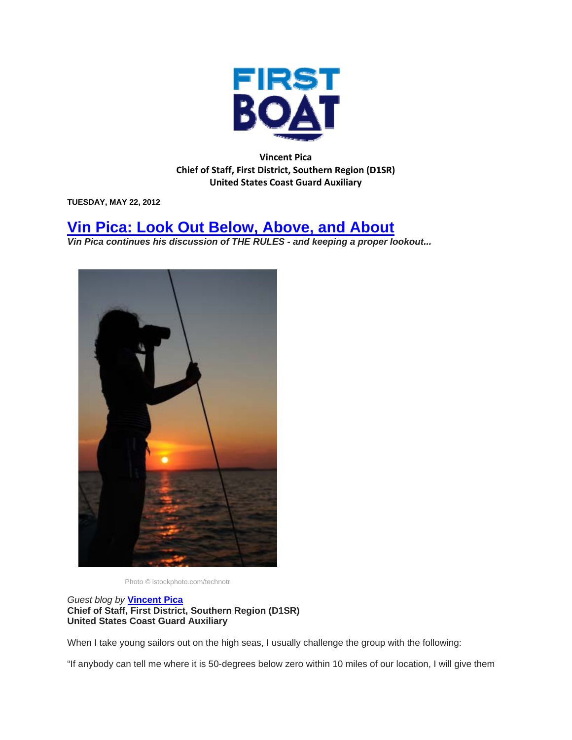

**Vincent Pica Chief of Staff, First District, Southern Region (D1SR) United States Coast Guard Auxiliary**

**TUESDAY, MAY 22, 2012** 

## **Vin Pica: Look Out Below, Above, and About**

*Vin Pica continues his discussion of THE RULES - and keeping a proper lookout...* 



Photo © istockphoto.com/technotr

*Guest blog by* **Vincent Pica Chief of Staff, First District, Southern Region (D1SR) United States Coast Guard Auxiliary**

When I take young sailors out on the high seas, I usually challenge the group with the following:

"If anybody can tell me where it is 50-degrees below zero within 10 miles of our location, I will give them